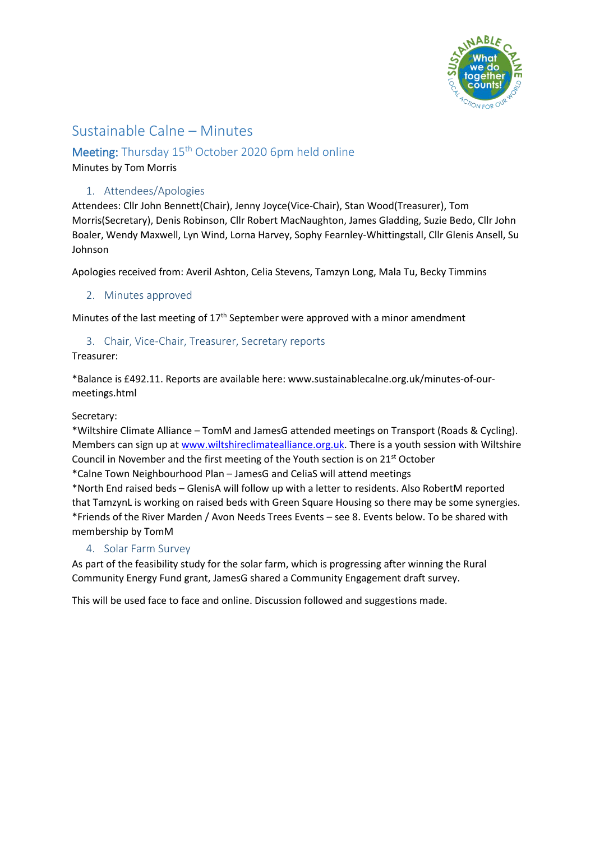

# Sustainable Calne – Minutes

## Meeting: Thursday 15<sup>th</sup> October 2020 6pm held online

Minutes by Tom Morris

### 1. Attendees/Apologies

Attendees: Cllr John Bennett(Chair), Jenny Joyce(Vice-Chair), Stan Wood(Treasurer), Tom Morris(Secretary), Denis Robinson, Cllr Robert MacNaughton, James Gladding, Suzie Bedo, Cllr John Boaler, Wendy Maxwell, Lyn Wind, Lorna Harvey, Sophy Fearnley-Whittingstall, Cllr Glenis Ansell, Su Johnson

Apologies received from: Averil Ashton, Celia Stevens, Tamzyn Long, Mala Tu, Becky Timmins

2. Minutes approved

Minutes of the last meeting of  $17<sup>th</sup>$  September were approved with a minor amendment

### 3. Chair, Vice-Chair, Treasurer, Secretary reports

Treasurer:

\*Balance is £492.11. Reports are available here: www.sustainablecalne.org.uk/minutes-of-ourmeetings.html

Secretary:

\*Wiltshire Climate Alliance – TomM and JamesG attended meetings on Transport (Roads & Cycling). Members can sign up a[t www.wiltshireclimatealliance.org.uk.](http://www.wiltshireclimatealliance.org.uk/) There is a youth session with Wiltshire Council in November and the first meeting of the Youth section is on 21st October \*Calne Town Neighbourhood Plan – JamesG and CeliaS will attend meetings

\*North End raised beds – GlenisA will follow up with a letter to residents. Also RobertM reported

that TamzynL is working on raised beds with Green Square Housing so there may be some synergies. \*Friends of the River Marden / Avon Needs Trees Events – see 8. Events below. To be shared with membership by TomM

4. Solar Farm Survey

As part of the feasibility study for the solar farm, which is progressing after winning the Rural Community Energy Fund grant, JamesG shared a Community Engagement draft survey.

This will be used face to face and online. Discussion followed and suggestions made.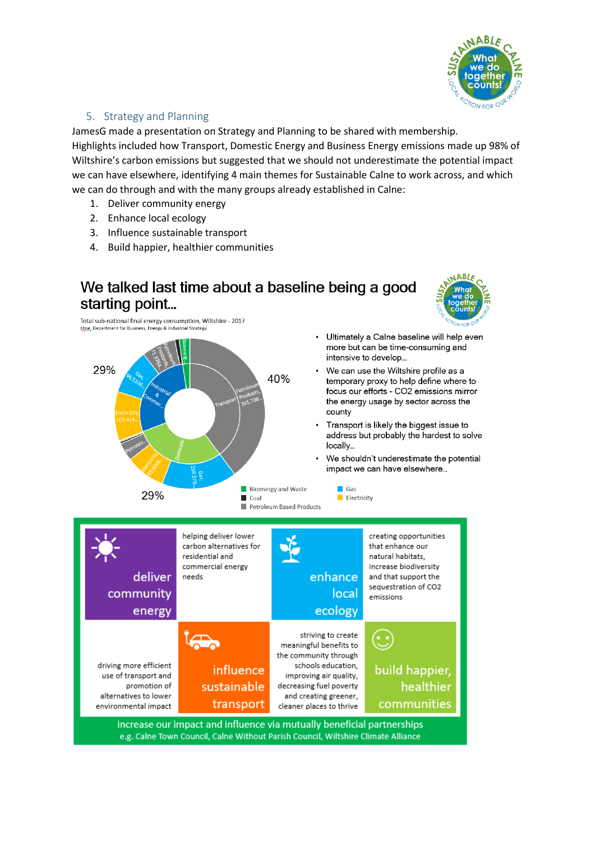

### 5. Strategy and Planning

JamesG made a presentation on Strategy and Planning to be shared with membership.

Highlights included how Transport, Domestic Energy and Business Energy emissions made up 98% of Wiltshire's carbon emissions but suggested that we should not underestimate the potential impact we can have elsewhere, identifying 4 main themes for Sustainable Calne to work across, and which we can do through and with the many groups already established in Calne:

- 1. Deliver community energy
- 2. Enhance local ecology
- 3. Influence sustainable transport
- 4. Build happier, healthier communities

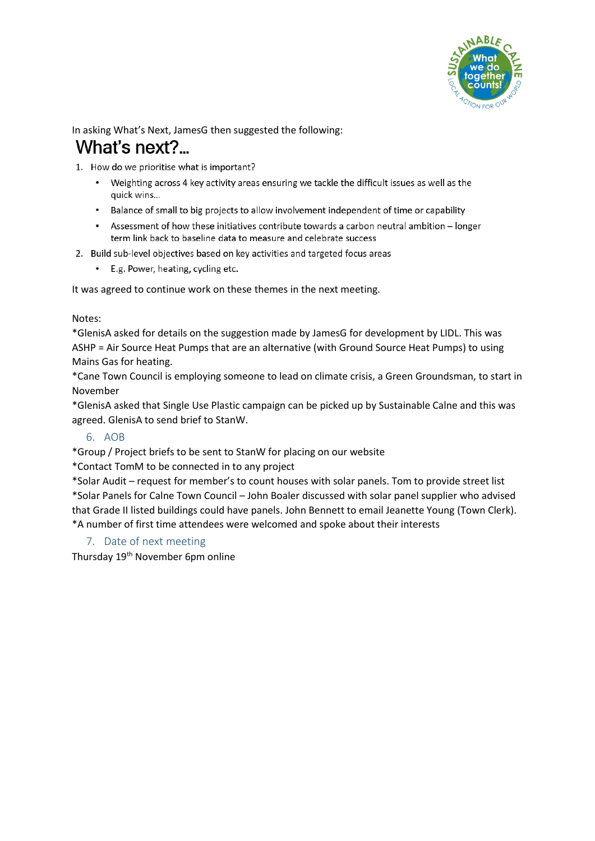

# In asking What's Next, JamesG then suggested the following: What's next?

1. How do we prioritise what is important?

- Weighting across 4 key activity areas ensuring we tackle the difficult issues as well as the quick wins...
- Balance of small to big projects to allow involvement independent of time or capability
- Assessment of how these initiatives contribute towards a carbon neutral ambition longer term link back to baseline data to measure and celebrate success
- 2. Build sub-level objectives based on key activities and targeted focus areas
	- E.g. Power, heating, cycling etc.

It was agreed to continue work on these themes in the next meeting.

#### Notes:

\*GlenisA asked for details on the suggestion made by JamesG for development by LIDL. This was ASHP = Air Source Heat Pumps that are an alternative (with Ground Source Heat Pumps) to using Mains Gas for heating.

\*Cane Town Council is employing someone to lead on climate crisis, a Green Groundsman, to start in November

\*GlenisA asked that Single Use Plastic campaign can be picked up by Sustainable Calne and this was agreed. GlenisA to send brief to StanW.

### 6. AOB

\*Group / Project briefs to be sent to StanW for placing on our website

\*Contact TomM to be connected in to any project

\*Solar Audit – request for member's to count houses with solar panels. Tom to provide street list \*Solar Panels for Calne Town Council – John Boaler discussed with solar panel supplier who advised that Grade II listed buildings could have panels. John Bennett to email Jeanette Young (Town Clerk). \*A number of first time attendees were welcomed and spoke about their interests

### 7. Date of next meeting

Thursday 19<sup>th</sup> November 6pm online